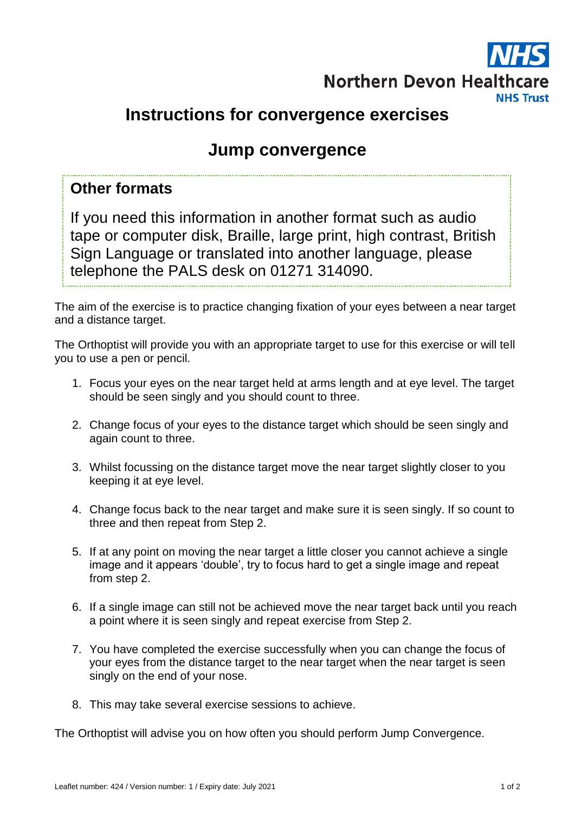

# **Instructions for convergence exercises**

# **Jump convergence**

## **Other formats**

If you need this information in another format such as audio tape or computer disk, Braille, large print, high contrast, British Sign Language or translated into another language, please telephone the PALS desk on 01271 314090.

The aim of the exercise is to practice changing fixation of your eyes between a near target and a distance target.

The Orthoptist will provide you with an appropriate target to use for this exercise or will tell you to use a pen or pencil.

- 1. Focus your eyes on the near target held at arms length and at eye level. The target should be seen singly and you should count to three.
- 2. Change focus of your eyes to the distance target which should be seen singly and again count to three.
- 3. Whilst focussing on the distance target move the near target slightly closer to you keeping it at eye level.
- 4. Change focus back to the near target and make sure it is seen singly. If so count to three and then repeat from Step 2.
- 5. If at any point on moving the near target a little closer you cannot achieve a single image and it appears 'double', try to focus hard to get a single image and repeat from step 2.
- 6. If a single image can still not be achieved move the near target back until you reach a point where it is seen singly and repeat exercise from Step 2.
- 7. You have completed the exercise successfully when you can change the focus of your eyes from the distance target to the near target when the near target is seen singly on the end of your nose.
- 8. This may take several exercise sessions to achieve.

The Orthoptist will advise you on how often you should perform Jump Convergence.